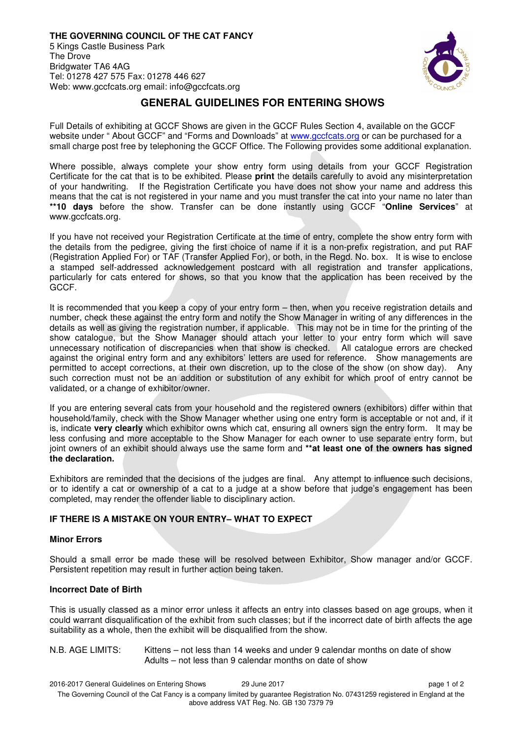

# **GENERAL GUIDELINES FOR ENTERING SHOWS**

Full Details of exhibiting at GCCF Shows are given in the GCCF Rules Section 4, available on the GCCF website under " About GCCF" and "Forms and Downloads" at www.gccfcats.org or can be purchased for a small charge post free by telephoning the GCCF Office. The Following provides some additional explanation.

Where possible, always complete your show entry form using details from your GCCF Registration Certificate for the cat that is to be exhibited. Please **print** the details carefully to avoid any misinterpretation of your handwriting. If the Registration Certificate you have does not show your name and address this means that the cat is not registered in your name and you must transfer the cat into your name no later than **\*\*10 days** before the show. Transfer can be done instantly using GCCF "**Online Services**" at www.gccfcats.org.

If you have not received your Registration Certificate at the time of entry, complete the show entry form with the details from the pedigree, giving the first choice of name if it is a non-prefix registration, and put RAF (Registration Applied For) or TAF (Transfer Applied For), or both, in the Regd. No. box. It is wise to enclose a stamped self-addressed acknowledgement postcard with all registration and transfer applications, particularly for cats entered for shows, so that you know that the application has been received by the GCCF.

It is recommended that you keep a copy of your entry form – then, when you receive registration details and number, check these against the entry form and notify the Show Manager in writing of any differences in the details as well as giving the registration number, if applicable. This may not be in time for the printing of the show catalogue, but the Show Manager should attach your letter to your entry form which will save unnecessary notification of discrepancies when that show is checked. All catalogue errors are checked against the original entry form and any exhibitors' letters are used for reference. Show managements are permitted to accept corrections, at their own discretion, up to the close of the show (on show day). Any such correction must not be an addition or substitution of any exhibit for which proof of entry cannot be validated, or a change of exhibitor/owner.

If you are entering several cats from your household and the registered owners (exhibitors) differ within that household/family, check with the Show Manager whether using one entry form is acceptable or not and, if it is, indicate **very clearly** which exhibitor owns which cat, ensuring all owners sign the entry form. It may be less confusing and more acceptable to the Show Manager for each owner to use separate entry form, but joint owners of an exhibit should always use the same form and **\*\*at least one of the owners has signed the declaration.** 

Exhibitors are reminded that the decisions of the judges are final. Any attempt to influence such decisions, or to identify a cat or ownership of a cat to a judge at a show before that judge's engagement has been completed, may render the offender liable to disciplinary action.

# **IF THERE IS A MISTAKE ON YOUR ENTRY– WHAT TO EXPECT**

### **Minor Errors**

Should a small error be made these will be resolved between Exhibitor, Show manager and/or GCCF. Persistent repetition may result in further action being taken.

# **Incorrect Date of Birth**

This is usually classed as a minor error unless it affects an entry into classes based on age groups, when it could warrant disqualification of the exhibit from such classes; but if the incorrect date of birth affects the age suitability as a whole, then the exhibit will be disqualified from the show.

N.B. AGE LIMITS: Kittens – not less than 14 weeks and under 9 calendar months on date of show Adults – not less than 9 calendar months on date of show

2016-2017 General Guidelines on Entering Shows 29 June 2017 page 1 of 2 The Governing Council of the Cat Fancy is a company limited by guarantee Registration No. 07431259 registered in England at the above address VAT Reg. No. GB 130 7379 79